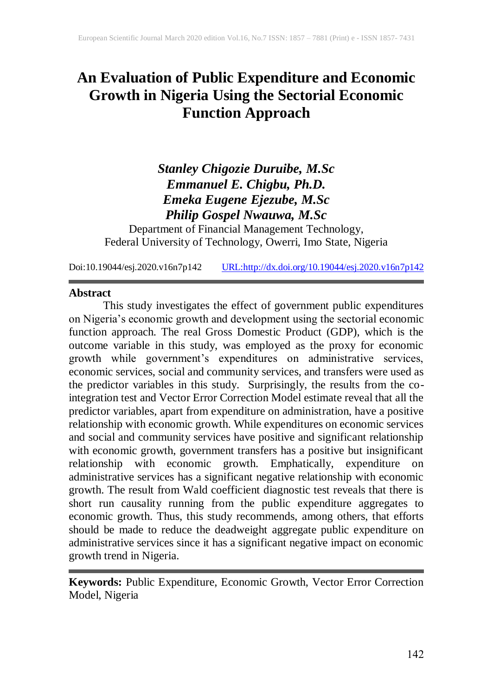# **An Evaluation of Public Expenditure and Economic Growth in Nigeria Using the Sectorial Economic Function Approach**

## *Stanley Chigozie Duruibe, M.Sc Emmanuel E. Chigbu, Ph.D. Emeka Eugene Ejezube, M.Sc Philip Gospel Nwauwa, M.Sc*

Department of Financial Management Technology, Federal University of Technology, Owerri, Imo State, Nigeria

Doi:10.19044/esj.2020.v16n7p142 [URL:http://dx.doi.org/10.19044/esj.2020.v16n7p142](http://dx.doi.org/10.19044/esj.2020.v16n7p142)

#### **Abstract**

This study investigates the effect of government public expenditures on Nigeria's economic growth and development using the sectorial economic function approach. The real Gross Domestic Product (GDP), which is the outcome variable in this study, was employed as the proxy for economic growth while government's expenditures on administrative services, economic services, social and community services, and transfers were used as the predictor variables in this study. Surprisingly, the results from the cointegration test and Vector Error Correction Model estimate reveal that all the predictor variables, apart from expenditure on administration, have a positive relationship with economic growth. While expenditures on economic services and social and community services have positive and significant relationship with economic growth, government transfers has a positive but insignificant relationship with economic growth. Emphatically, expenditure on administrative services has a significant negative relationship with economic growth. The result from Wald coefficient diagnostic test reveals that there is short run causality running from the public expenditure aggregates to economic growth. Thus, this study recommends, among others, that efforts should be made to reduce the deadweight aggregate public expenditure on administrative services since it has a significant negative impact on economic growth trend in Nigeria.

**Keywords:** Public Expenditure, Economic Growth, Vector Error Correction Model, Nigeria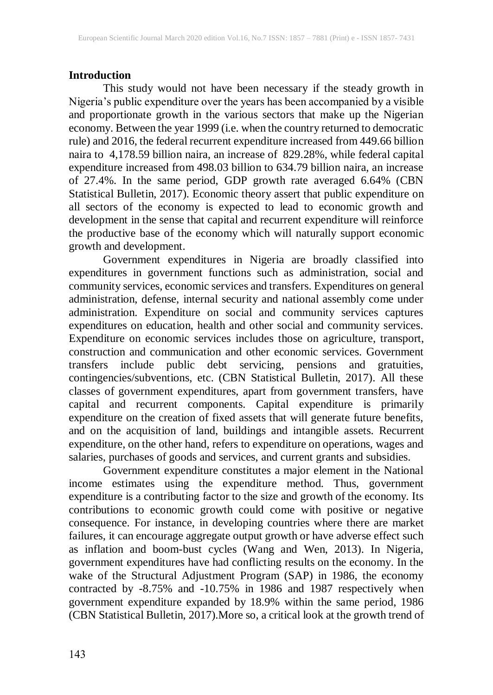## **Introduction**

This study would not have been necessary if the steady growth in Nigeria's public expenditure over the years has been accompanied by a visible and proportionate growth in the various sectors that make up the Nigerian economy. Between the year 1999 (i.e. when the country returned to democratic rule) and 2016, the federal recurrent expenditure increased from 449.66 billion naira to 4,178.59 billion naira, an increase of 829.28%, while federal capital expenditure increased from 498.03 billion to 634.79 billion naira, an increase of 27.4%. In the same period, GDP growth rate averaged 6.64% (CBN Statistical Bulletin, 2017). Economic theory assert that public expenditure on all sectors of the economy is expected to lead to economic growth and development in the sense that capital and recurrent expenditure will reinforce the productive base of the economy which will naturally support economic growth and development.

Government expenditures in Nigeria are broadly classified into expenditures in government functions such as administration, social and community services, economic services and transfers. Expenditures on general administration, defense, internal security and national assembly come under administration. Expenditure on social and community services captures expenditures on education, health and other social and community services. Expenditure on economic services includes those on agriculture, transport, construction and communication and other economic services. Government transfers include public debt servicing, pensions and gratuities, contingencies/subventions, etc. (CBN Statistical Bulletin, 2017). All these classes of government expenditures, apart from government transfers, have capital and recurrent components. Capital expenditure is primarily expenditure on the creation of fixed assets that will generate future benefits, and on the acquisition of land, buildings and intangible assets. Recurrent expenditure, on the other hand, refers to expenditure on operations, wages and salaries, purchases of goods and services, and current grants and subsidies.

Government expenditure constitutes a major element in the National income estimates using the expenditure method. Thus, government expenditure is a contributing factor to the size and growth of the economy. Its contributions to economic growth could come with positive or negative consequence. For instance, in developing countries where there are market failures, it can encourage aggregate output growth or have adverse effect such as inflation and boom-bust cycles (Wang and Wen, 2013). In Nigeria, government expenditures have had conflicting results on the economy. In the wake of the Structural Adjustment Program (SAP) in 1986, the economy contracted by -8.75% and -10.75% in 1986 and 1987 respectively when government expenditure expanded by 18.9% within the same period, 1986 (CBN Statistical Bulletin, 2017).More so, a critical look at the growth trend of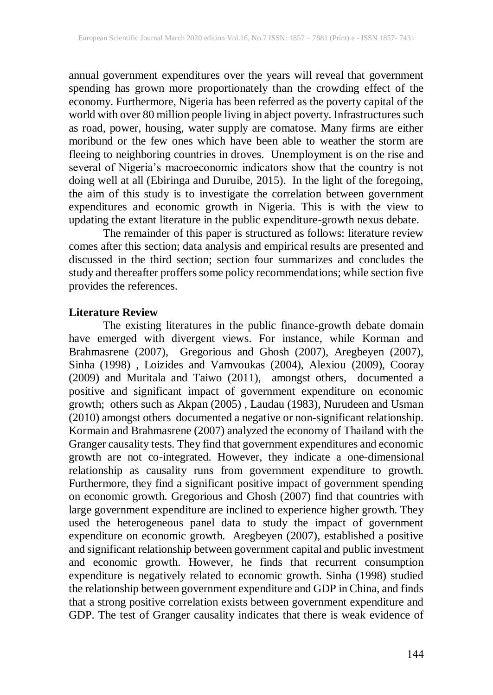annual government expenditures over the years will reveal that government spending has grown more proportionately than the crowding effect of the economy. Furthermore, Nigeria has been referred as the poverty capital of the world with over 80 million people living in abject poverty. Infrastructures such as road, power, housing, water supply are comatose. Many firms are either moribund or the few ones which have been able to weather the storm are fleeing to neighboring countries in droves. Unemployment is on the rise and several of Nigeria's macroeconomic indicators show that the country is not doing well at all (Ebiringa and Duruibe, 2015). In the light of the foregoing, the aim of this study is to investigate the correlation between government expenditures and economic growth in Nigeria. This is with the view to updating the extant literature in the public expenditure-growth nexus debate.

The remainder of this paper is structured as follows: literature review comes after this section; data analysis and empirical results are presented and discussed in the third section; section four summarizes and concludes the study and thereafter proffers some policy recommendations; while section five provides the references.

#### **Literature Review**

The existing literatures in the public finance-growth debate domain have emerged with divergent views. For instance, while Korman and Brahmasrene (2007), Gregorious and Ghosh (2007), Aregbeyen (2007), Sinha (1998) , Loizides and Vamvoukas (2004), Alexiou (2009), Cooray (2009) and Muritala and Taiwo (2011), amongst others, documented a positive and significant impact of government expenditure on economic growth; others such as Akpan (2005) , Laudau (1983), Nurudeen and Usman (2010) amongst others documented a negative or non-significant relationship. Kormain and Brahmasrene (2007) analyzed the economy of Thailand with the Granger causality tests. They find that government expenditures and economic growth are not co-integrated. However, they indicate a one-dimensional relationship as causality runs from government expenditure to growth. Furthermore, they find a significant positive impact of government spending on economic growth. Gregorious and Ghosh (2007) find that countries with large government expenditure are inclined to experience higher growth. They used the heterogeneous panel data to study the impact of government expenditure on economic growth. Aregbeyen (2007), established a positive and significant relationship between government capital and public investment and economic growth. However, he finds that recurrent consumption expenditure is negatively related to economic growth. Sinha (1998) studied the relationship between government expenditure and GDP in China, and finds that a strong positive correlation exists between government expenditure and GDP. The test of Granger causality indicates that there is weak evidence of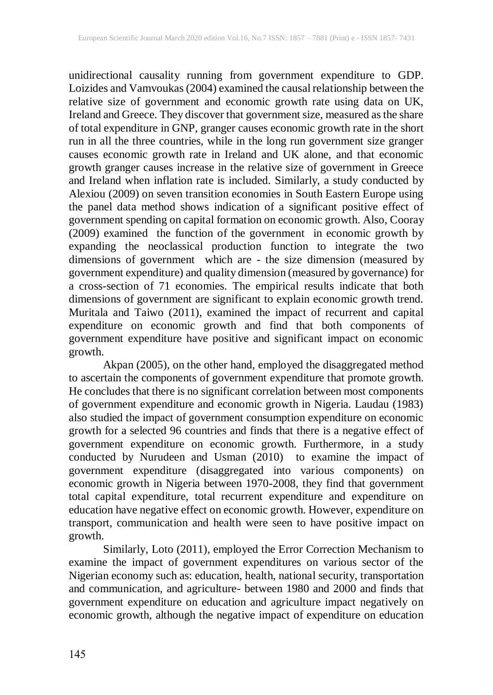unidirectional causality running from government expenditure to GDP. Loizides and Vamvoukas (2004) examined the causal relationship between the relative size of government and economic growth rate using data on UK, Ireland and Greece. They discover that government size, measured as the share of total expenditure in GNP, granger causes economic growth rate in the short run in all the three countries, while in the long run government size granger causes economic growth rate in Ireland and UK alone, and that economic growth granger causes increase in the relative size of government in Greece and Ireland when inflation rate is included. Similarly, a study conducted by Alexiou (2009) on seven transition economies in South Eastern Europe using the panel data method shows indication of a significant positive effect of government spending on capital formation on economic growth. Also, Cooray (2009) examined the function of the government in economic growth by expanding the neoclassical production function to integrate the two dimensions of government which are - the size dimension (measured by government expenditure) and quality dimension (measured by governance) for a cross-section of 71 economies. The empirical results indicate that both dimensions of government are significant to explain economic growth trend. Muritala and Taiwo (2011), examined the impact of recurrent and capital expenditure on economic growth and find that both components of government expenditure have positive and significant impact on economic growth.

Akpan (2005), on the other hand, employed the disaggregated method to ascertain the components of government expenditure that promote growth. He concludes that there is no significant correlation between most components of government expenditure and economic growth in Nigeria. Laudau (1983) also studied the impact of government consumption expenditure on economic growth for a selected 96 countries and finds that there is a negative effect of government expenditure on economic growth. Furthermore, in a study conducted by Nurudeen and Usman (2010) to examine the impact of government expenditure (disaggregated into various components) on economic growth in Nigeria between 1970-2008, they find that government total capital expenditure, total recurrent expenditure and expenditure on education have negative effect on economic growth. However, expenditure on transport, communication and health were seen to have positive impact on growth.

Similarly, Loto (2011), employed the Error Correction Mechanism to examine the impact of government expenditures on various sector of the Nigerian economy such as: education, health, national security, transportation and communication, and agriculture- between 1980 and 2000 and finds that government expenditure on education and agriculture impact negatively on economic growth, although the negative impact of expenditure on education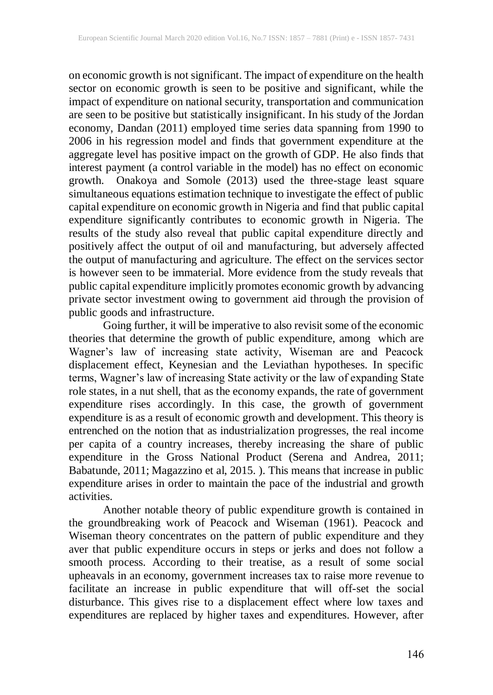on economic growth is not significant. The impact of expenditure on the health sector on economic growth is seen to be positive and significant, while the impact of expenditure on national security, transportation and communication are seen to be positive but statistically insignificant. In his study of the Jordan economy, Dandan (2011) employed time series data spanning from 1990 to 2006 in his regression model and finds that government expenditure at the aggregate level has positive impact on the growth of GDP. He also finds that interest payment (a control variable in the model) has no effect on economic growth. Onakoya and Somole (2013) used the three-stage least square simultaneous equations estimation technique to investigate the effect of public capital expenditure on economic growth in Nigeria and find that public capital expenditure significantly contributes to economic growth in Nigeria. The results of the study also reveal that public capital expenditure directly and positively affect the output of oil and manufacturing, but adversely affected the output of manufacturing and agriculture. The effect on the services sector is however seen to be immaterial. More evidence from the study reveals that public capital expenditure implicitly promotes economic growth by advancing private sector investment owing to government aid through the provision of public goods and infrastructure.

Going further, it will be imperative to also revisit some of the economic theories that determine the growth of public expenditure, among which are Wagner's law of increasing state activity, Wiseman are and Peacock displacement effect, Keynesian and the Leviathan hypotheses. In specific terms, Wagner's law of increasing State activity or the law of expanding State role states, in a nut shell, that as the economy expands, the rate of government expenditure rises accordingly. In this case, the growth of government expenditure is as a result of economic growth and development. This theory is entrenched on the notion that as industrialization progresses, the real income per capita of a country increases, thereby increasing the share of public expenditure in the Gross National Product (Serena and Andrea, 2011; Babatunde, 2011; Magazzino et al, 2015. ). This means that increase in public expenditure arises in order to maintain the pace of the industrial and growth activities.

Another notable theory of public expenditure growth is contained in the groundbreaking work of Peacock and Wiseman (1961). Peacock and Wiseman theory concentrates on the pattern of public expenditure and they aver that public expenditure occurs in steps or jerks and does not follow a smooth process. According to their treatise, as a result of some social upheavals in an economy, government increases tax to raise more revenue to facilitate an increase in public expenditure that will off-set the social disturbance. This gives rise to a displacement effect where low taxes and expenditures are replaced by higher taxes and expenditures. However, after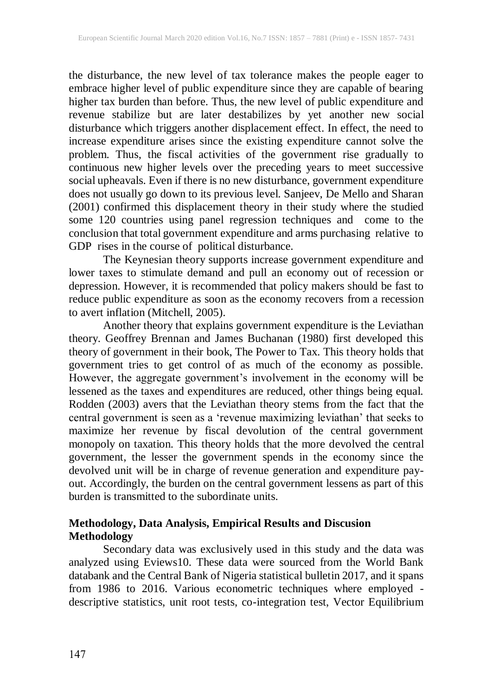the disturbance, the new level of tax tolerance makes the people eager to embrace higher level of public expenditure since they are capable of bearing higher tax burden than before. Thus, the new level of public expenditure and revenue stabilize but are later destabilizes by yet another new social disturbance which triggers another displacement effect. In effect, the need to increase expenditure arises since the existing expenditure cannot solve the problem. Thus, the fiscal activities of the government rise gradually to continuous new higher levels over the preceding years to meet successive social upheavals. Even if there is no new disturbance, government expenditure does not usually go down to its previous level. Sanjeev, De Mello and Sharan (2001) confirmed this displacement theory in their study where the studied some 120 countries using panel regression techniques and come to the conclusion that total government expenditure and arms purchasing relative to GDP rises in the course of political disturbance.

The Keynesian theory supports increase government expenditure and lower taxes to stimulate demand and pull an economy out of recession or depression. However, it is recommended that policy makers should be fast to reduce public expenditure as soon as the economy recovers from a recession to avert inflation (Mitchell, 2005).

Another theory that explains government expenditure is the Leviathan theory. Geoffrey Brennan and James Buchanan (1980) first developed this theory of government in their book, The Power to Tax. This theory holds that government tries to get control of as much of the economy as possible. However, the aggregate government's involvement in the economy will be lessened as the taxes and expenditures are reduced, other things being equal. Rodden (2003) avers that the Leviathan theory stems from the fact that the central government is seen as a 'revenue maximizing leviathan' that seeks to maximize her revenue by fiscal devolution of the central government monopoly on taxation. This theory holds that the more devolved the central government, the lesser the government spends in the economy since the devolved unit will be in charge of revenue generation and expenditure payout. Accordingly, the burden on the central government lessens as part of this burden is transmitted to the subordinate units.

## **Methodology, Data Analysis, Empirical Results and Discusion Methodology**

Secondary data was exclusively used in this study and the data was analyzed using Eviews10. These data were sourced from the World Bank databank and the Central Bank of Nigeria statistical bulletin 2017, and it spans from 1986 to 2016. Various econometric techniques where employed descriptive statistics, unit root tests, co-integration test, Vector Equilibrium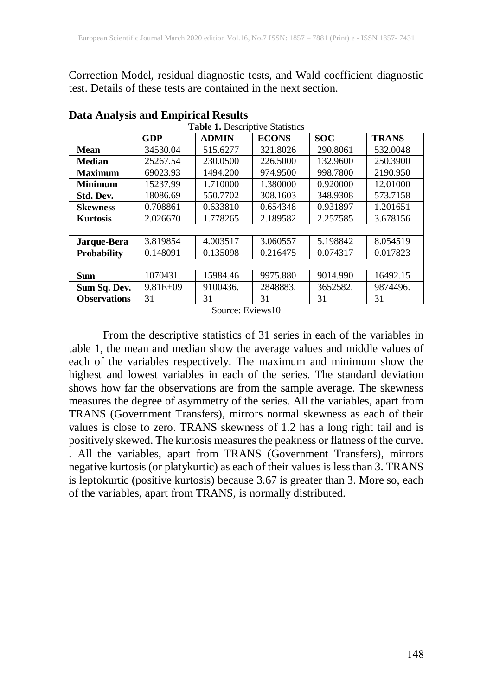Correction Model, residual diagnostic tests, and Wald coefficient diagnostic test. Details of these tests are contained in the next section.

| Table 1. Descriptive Statistics |              |              |              |            |              |  |
|---------------------------------|--------------|--------------|--------------|------------|--------------|--|
| <b>GDP</b>                      |              | <b>ADMIN</b> | <b>ECONS</b> | <b>SOC</b> | <b>TRANS</b> |  |
| <b>Mean</b>                     | 34530.04     | 515.6277     | 321.8026     | 290.8061   | 532.0048     |  |
| <b>Median</b>                   | 25267.54     | 230.0500     | 226,5000     | 132.9600   | 250.3900     |  |
| <b>Maximum</b>                  | 69023.93     | 1494.200     | 974.9500     | 998.7800   | 2190.950     |  |
| <b>Minimum</b>                  | 15237.99     | 1.710000     | 1.380000     | 0.920000   | 12.01000     |  |
| Std. Dev.                       | 18086.69     | 550.7702     | 308.1603     | 348.9308   | 573.7158     |  |
| <b>Skewness</b>                 | 0.708861     | 0.633810     | 0.654348     | 0.931897   | 1.201651     |  |
| <b>Kurtosis</b>                 | 2.026670     | 1.778265     | 2.189582     | 2.257585   | 3.678156     |  |
|                                 |              |              |              |            |              |  |
| Jarque-Bera                     | 3.819854     | 4.003517     | 3.060557     | 5.198842   | 8.054519     |  |
| <b>Probability</b>              | 0.148091     | 0.135098     | 0.216475     | 0.074317   | 0.017823     |  |
|                                 |              |              |              |            |              |  |
| <b>Sum</b>                      | 1070431.     | 15984.46     | 9975.880     | 9014.990   | 16492.15     |  |
| Sum Sq. Dev.                    | $9.81E + 09$ | 9100436.     | 2848883.     | 3652582.   | 9874496.     |  |
| <b>Observations</b>             | 31           | 31           | 31           | 31         | 31           |  |

**Data Analysis and Empirical Results**

Source: Eviews10

From the descriptive statistics of 31 series in each of the variables in table 1, the mean and median show the average values and middle values of each of the variables respectively. The maximum and minimum show the highest and lowest variables in each of the series. The standard deviation shows how far the observations are from the sample average. The skewness measures the degree of asymmetry of the series. All the variables, apart from TRANS (Government Transfers), mirrors normal skewness as each of their values is close to zero. TRANS skewness of 1.2 has a long right tail and is positively skewed. The kurtosis measures the peakness or flatness of the curve. . All the variables, apart from TRANS (Government Transfers), mirrors negative kurtosis (or platykurtic) as each of their values is less than 3. TRANS is leptokurtic (positive kurtosis) because 3.67 is greater than 3. More so, each of the variables, apart from TRANS, is normally distributed.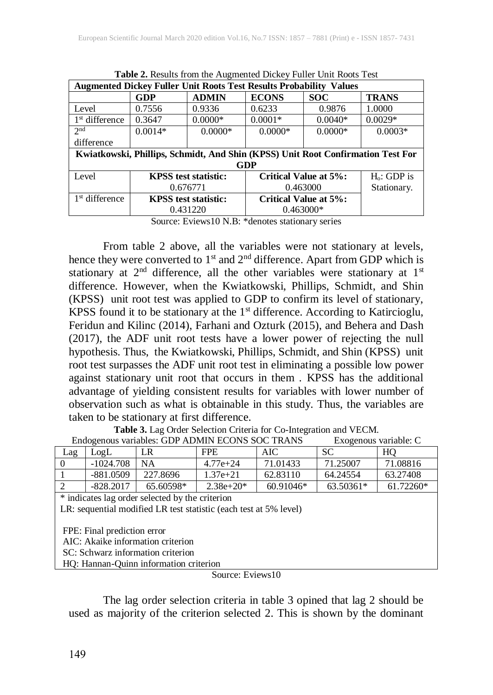| <b>Augmented Dickey Fuller Unit Roots Test Results Probability Values</b>       |                             |              |                              |            |                         |
|---------------------------------------------------------------------------------|-----------------------------|--------------|------------------------------|------------|-------------------------|
|                                                                                 | GDP                         | <b>ADMIN</b> | <b>ECONS</b>                 | <b>SOC</b> | <b>TRANS</b>            |
| Level                                                                           | 0.7556                      | 0.9336       | 0.6233                       | 0.9876     | 1.0000                  |
| 1 <sup>st</sup> difference                                                      | 0.3647                      | $0.0000*$    | $0.0001*$                    | $0.0040*$  | $0.0029*$               |
| 2 <sub>nd</sub>                                                                 | $0.0014*$                   | $0.0000*$    | $0.0000*$                    | $0.0000*$  | $0.0003*$               |
| difference                                                                      |                             |              |                              |            |                         |
| Kwiatkowski, Phillips, Schmidt, And Shin (KPSS) Unit Root Confirmation Test For |                             |              |                              |            |                         |
| GDP                                                                             |                             |              |                              |            |                         |
| Level                                                                           | <b>KPSS</b> test statistic: |              | <b>Critical Value at 5%:</b> |            | H <sub>o</sub> : GDP is |
|                                                                                 | 0.676771                    |              | 0.463000                     |            | Stationary.             |
| 1 <sup>st</sup> difference                                                      | <b>KPSS</b> test statistic: |              | <b>Critical Value at 5%:</b> |            |                         |
|                                                                                 | 0.431220                    |              | $0.463000*$                  |            |                         |

**Table 2.** Results from the Augmented Dickey Fuller Unit Roots Test

Source: Eviews10 N.B: \*denotes stationary series

From table 2 above, all the variables were not stationary at levels, hence they were converted to  $1<sup>st</sup>$  and  $2<sup>nd</sup>$  difference. Apart from GDP which is stationary at  $2<sup>nd</sup>$  difference, all the other variables were stationary at  $1<sup>st</sup>$ difference. However, when the Kwiatkowski, Phillips, Schmidt, and Shin (KPSS) unit root test was applied to GDP to confirm its level of stationary, KPSS found it to be stationary at the  $1<sup>st</sup>$  difference. According to Katircioglu, Feridun and Kilinc (2014), Farhani and Ozturk (2015), and Behera and Dash (2017), the ADF unit root tests have a lower power of rejecting the null hypothesis. Thus, the Kwiatkowski, Phillips, Schmidt, and Shin (KPSS) unit root test surpasses the ADF unit root test in eliminating a possible low power against stationary unit root that occurs in them . KPSS has the additional advantage of yielding consistent results for variables with lower number of observation such as what is obtainable in this study. Thus, the variables are taken to be stationary at first difference.

**Table 3.** Lag Order Selection Criteria for Co-Integration and VECM.

| Endogenous variables: GDP ADMIN ECONS SOC TRANS<br>Exogenous variable: C |                                                                                |          |                   |          |           |          |  |
|--------------------------------------------------------------------------|--------------------------------------------------------------------------------|----------|-------------------|----------|-----------|----------|--|
| Lag                                                                      | LogL                                                                           | LR       | AIC<br><b>FPE</b> |          | <b>SC</b> | HQ       |  |
| $\Omega$                                                                 | $-1024.708$                                                                    | NA.      | $4.77e + 24$      | 71.01433 | 71.25007  | 71.08816 |  |
|                                                                          | $-881.0509$                                                                    | 227.8696 | $1.37e + 21$      | 62.83110 | 64.24554  | 63.27408 |  |
| $\mathcal{D}_{\mathcal{L}}$                                              | $-828.2017$<br>60.91046*<br>63.50361*<br>61.72260*<br>65.60598*<br>$2.38e+20*$ |          |                   |          |           |          |  |
|                                                                          | * indicates lag order selected by the criterion                                |          |                   |          |           |          |  |
| LR: sequential modified LR test statistic (each test at 5% level)        |                                                                                |          |                   |          |           |          |  |
|                                                                          |                                                                                |          |                   |          |           |          |  |
| FPE: Final prediction error                                              |                                                                                |          |                   |          |           |          |  |
| AIC: Akaike information criterion                                        |                                                                                |          |                   |          |           |          |  |
| SC: Schwarz information criterion                                        |                                                                                |          |                   |          |           |          |  |
| HO: Hannan-Ouinn information criterion                                   |                                                                                |          |                   |          |           |          |  |
| Source: Eviews10                                                         |                                                                                |          |                   |          |           |          |  |

Endogenous variables: GDP ADMIN ECONS SOC TRANS Exogenous variable: C

The lag order selection criteria in table 3 opined that lag 2 should be used as majority of the criterion selected 2. This is shown by the dominant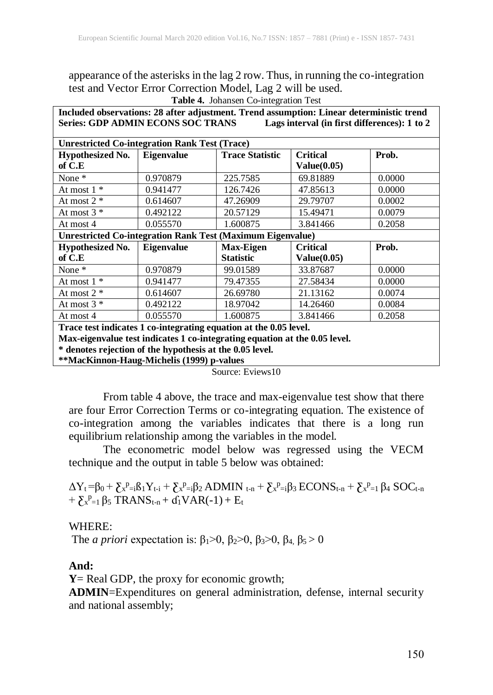appearance of the asterisks in the lag 2 row. Thus, in running the co-integration test and Vector Error Correction Model, Lag 2 will be used.

**Table 4.** Johansen Co-integration Test

| Included observations: 28 after adjustment. Trend assumption: Linear deterministic trend |                   |                        |                    |        |  |
|------------------------------------------------------------------------------------------|-------------------|------------------------|--------------------|--------|--|
| <b>Series: GDP ADMIN ECONS SOC TRANS</b><br>Lags interval (in first differences): 1 to 2 |                   |                        |                    |        |  |
|                                                                                          |                   |                        |                    |        |  |
| <b>Unrestricted Co-integration Rank Test (Trace)</b>                                     |                   |                        |                    |        |  |
| <b>Hypothesized No.</b>                                                                  | Eigenvalue        | <b>Trace Statistic</b> | <b>Critical</b>    | Prob.  |  |
| of C.E                                                                                   |                   |                        | Value(0.05)        |        |  |
| None *                                                                                   | 0.970879          | 225.7585               | 69.81889           | 0.0000 |  |
| At most $1 *$                                                                            | 0.941477          | 126.7426               | 47.85613           | 0.0000 |  |
| At most $2 *$                                                                            | 0.614607          | 47.26909               | 29.79707           | 0.0002 |  |
| At most $3 *$                                                                            | 0.492122          | 20.57129               | 15.49471           | 0.0079 |  |
| At most 4                                                                                | 0.055570          | 1.600875               | 3.841466           | 0.2058 |  |
| <b>Unrestricted Co-integration Rank Test (Maximum Eigenvalue)</b>                        |                   |                        |                    |        |  |
| <b>Hypothesized No.</b>                                                                  | <b>Eigenvalue</b> | <b>Max-Eigen</b>       | <b>Critical</b>    | Prob.  |  |
| of C.E                                                                                   |                   | <b>Statistic</b>       | <b>Value(0.05)</b> |        |  |
| None $*$                                                                                 | 0.970879          | 99.01589               | 33.87687           | 0.0000 |  |
| At most $1 *$                                                                            | 0.941477          | 79.47355               | 27.58434           | 0.0000 |  |
| At most $2 *$                                                                            | 0.614607          | 26.69780               | 21.13162           | 0.0074 |  |
| At most $3 *$                                                                            | 0.492122          | 18.97042               | 14.26460           | 0.0084 |  |
| At most 4                                                                                | 0.055570          | 1.600875               | 3.841466           | 0.2058 |  |
| Trace test indicates 1 co-integrating equation at the 0.05 level.                        |                   |                        |                    |        |  |
| Max-eigenvalue test indicates 1 co-integrating equation at the 0.05 level.               |                   |                        |                    |        |  |
| * denotes rejection of the hynothesis at the 0.05 level                                  |                   |                        |                    |        |  |

**\* denotes rejection of the hypothesis at the 0.05 level. \*\*MacKinnon-Haug-Michelis (1999) p-values**

Source: Eviews10

From table 4 above, the trace and max-eigenvalue test show that there are four Error Correction Terms or co-integrating equation. The existence of co-integration among the variables indicates that there is a long run equilibrium relationship among the variables in the model.

The econometric model below was regressed using the VECM technique and the output in table 5 below was obtained:

 $\Delta Y_t = \beta_0 + \sum_{x}^{p} B_i Y_{t-i} + \sum_{x}^{p} B_i \sum_{z} ADMIN_{t-n} + \sum_{x}^{p} B_i \sum_{z} ACDNS_{t-n} + \sum_{x}^{p} B_i \sum_{z} OCL_{t-n}$  $+ \sum_{r=1}^{p} \beta_5 \text{ TRANS}_{t-n} + d_1 \text{VAR}(-1) + E_t$ 

#### WHERE:

The *a priori* expectation is:  $β<sub>1</sub> > 0$ ,  $β<sub>2</sub> > 0$ ,  $β<sub>3</sub> > 0$ ,  $β<sub>4</sub>$ ,  $β<sub>5</sub> > 0$ 

#### **And:**

**Y**= Real GDP, the proxy for economic growth;

**ADMIN**=Expenditures on general administration, defense, internal security and national assembly;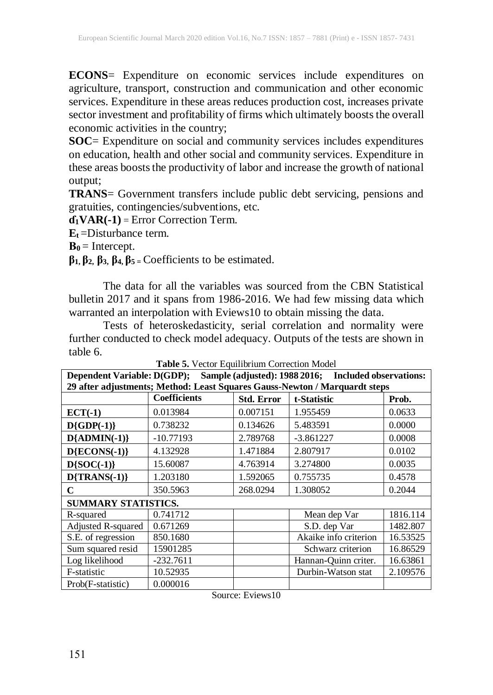**ECONS**= Expenditure on economic services include expenditures on agriculture, transport, construction and communication and other economic services. Expenditure in these areas reduces production cost, increases private sector investment and profitability of firms which ultimately boosts the overall economic activities in the country;

**SOC**= Expenditure on social and community services includes expenditures on education, health and other social and community services. Expenditure in these areas boosts the productivity of labor and increase the growth of national output;

**TRANS**= Government transfers include public debt servicing, pensions and gratuities, contingencies/subventions, etc.

**ɗ1VAR(-1)** = Error Correction Term.

**E<sup>t</sup>** =Disturbance term.

 $B_0 =$  Intercept.

**β1, β2, β3, β4, β<sup>5</sup> <sup>=</sup>** Coefficients to be estimated.

The data for all the variables was sourced from the CBN Statistical bulletin 2017 and it spans from 1986-2016. We had few missing data which warranted an interpolation with Eviews10 to obtain missing the data.

Tests of heteroskedasticity, serial correlation and normality were further conducted to check model adequacy. Outputs of the tests are shown in table 6.

| Sample (adjusted): 1988 2016; Included observations:<br><b>Dependent Variable: D(GDP);</b> |                     |                   |                       |          |  |  |
|--------------------------------------------------------------------------------------------|---------------------|-------------------|-----------------------|----------|--|--|
| 29 after adjustments; Method: Least Squares Gauss-Newton / Marquardt steps                 |                     |                   |                       |          |  |  |
|                                                                                            | <b>Coefficients</b> | <b>Std. Error</b> | t-Statistic           | Prob.    |  |  |
| $ECT(-1)$                                                                                  | 0.013984            | 0.007151          | 1.955459              | 0.0633   |  |  |
| $D\{GDP(-1)\}$                                                                             | 0.738232            | 0.134626          | 5.483591              | 0.0000   |  |  |
| $D{ADMIN(-1)}$                                                                             | $-10.77193$         | 2.789768          | $-3.861227$           | 0.0008   |  |  |
| $D{ECONS(-1)}$                                                                             | 4.132928            | 1.471884          | 2.807917              | 0.0102   |  |  |
| $D{SOC(-1)}$                                                                               | 15.60087            | 4.763914          | 3.274800              | 0.0035   |  |  |
| $D{TRANS(-1)}$                                                                             | 1.203180            | 1.592065          | 0.755735              | 0.4578   |  |  |
| C                                                                                          | 350.5963            | 268.0294          | 1.308052              | 0.2044   |  |  |
| <b>SUMMARY STATISTICS.</b>                                                                 |                     |                   |                       |          |  |  |
| R-squared                                                                                  | 0.741712            |                   | Mean dep Var          | 1816.114 |  |  |
| Adjusted R-squared                                                                         | 0.671269            |                   | S.D. dep Var          | 1482.807 |  |  |
| S.E. of regression                                                                         | 850.1680            |                   | Akaike info criterion | 16.53525 |  |  |
| Sum squared resid                                                                          | 15901285            |                   | Schwarz criterion     | 16.86529 |  |  |
| Log likelihood                                                                             | $-232.7611$         |                   | Hannan-Quinn criter.  | 16.63861 |  |  |
| F-statistic                                                                                | 10.52935            |                   | Durbin-Watson stat    | 2.109576 |  |  |
| Prob(F-statistic)                                                                          | 0.000016            |                   |                       |          |  |  |

**Table 5.** Vector Equilibrium Correction Model

Source: Eviews10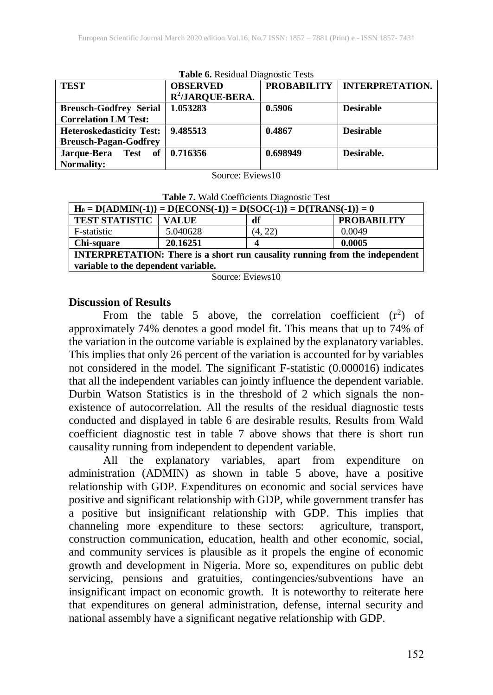| <b>Table 6.</b> Residual Diagnostic Tests |                     |                    |                        |  |  |  |
|-------------------------------------------|---------------------|--------------------|------------------------|--|--|--|
| <b>TEST</b>                               | <b>OBSERVED</b>     | <b>PROBABILITY</b> | <b>INTERPRETATION.</b> |  |  |  |
|                                           | $R^2$ /JARQUE-BERA. |                    |                        |  |  |  |
| <b>Breusch-Godfrey Serial</b>             | 1.053283            | 0.5906             | <b>Desirable</b>       |  |  |  |
| <b>Correlation LM Test:</b>               |                     |                    |                        |  |  |  |
| <b>Heteroskedasticity Test:</b>           | 9.485513            | 0.4867             | <b>Desirable</b>       |  |  |  |
| <b>Breusch-Pagan-Godfrey</b>              |                     |                    |                        |  |  |  |
| Jarque-Bera Test of 0.716356              |                     | 0.698949           | Desirable.             |  |  |  |
| <b>Normality:</b>                         |                     |                    |                        |  |  |  |

**Table 6.** Residual Diagnostic Tests

Source: Eviews10

**Table 7.** Wald Coefficients Diagnostic Test

| $H_0 = D{ADMIN(-1)} = D{ECONS(-1)} = D{SOC(-1)} = D{TRANS(-1)} = 0$                |              |         |                    |  |  |
|------------------------------------------------------------------------------------|--------------|---------|--------------------|--|--|
| <b>TEST STATISTIC</b>                                                              | <b>VALUE</b> | df      | <b>PROBABILITY</b> |  |  |
| F-statistic                                                                        | 5.040628     | (4, 22) | 0.0049             |  |  |
| Chi-square                                                                         | 20.16251     |         | 0.0005             |  |  |
| <b>INTERPRETATION:</b> There is a short run causality running from the independent |              |         |                    |  |  |
| variable to the dependent variable.                                                |              |         |                    |  |  |

Source: Eviews10

#### **Discussion of Results**

From the table 5 above, the correlation coefficient  $(r^2)$  of approximately 74% denotes a good model fit. This means that up to 74% of the variation in the outcome variable is explained by the explanatory variables. This implies that only 26 percent of the variation is accounted for by variables not considered in the model. The significant F-statistic (0.000016) indicates that all the independent variables can jointly influence the dependent variable. Durbin Watson Statistics is in the threshold of 2 which signals the nonexistence of autocorrelation. All the results of the residual diagnostic tests conducted and displayed in table 6 are desirable results. Results from Wald coefficient diagnostic test in table 7 above shows that there is short run causality running from independent to dependent variable.

All the explanatory variables, apart from expenditure on administration (ADMIN) as shown in table 5 above, have a positive relationship with GDP. Expenditures on economic and social services have positive and significant relationship with GDP, while government transfer has a positive but insignificant relationship with GDP. This implies that channeling more expenditure to these sectors: agriculture, transport, construction communication, education, health and other economic, social, and community services is plausible as it propels the engine of economic growth and development in Nigeria. More so, expenditures on public debt servicing, pensions and gratuities, contingencies/subventions have an insignificant impact on economic growth. It is noteworthy to reiterate here that expenditures on general administration, defense, internal security and national assembly have a significant negative relationship with GDP.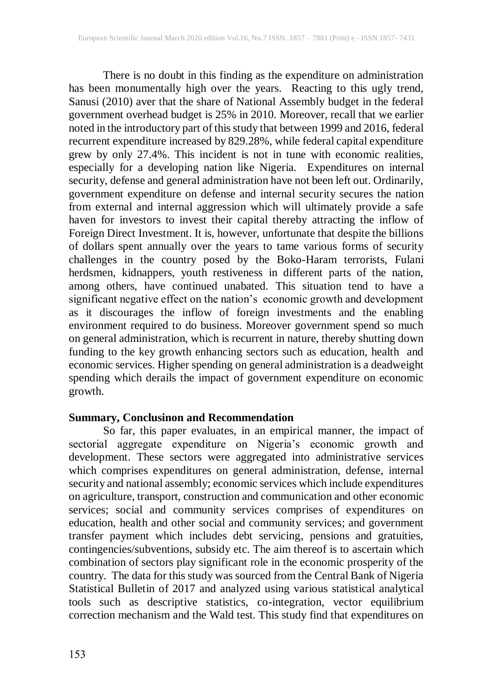There is no doubt in this finding as the expenditure on administration has been monumentally high over the years. Reacting to this ugly trend, Sanusi (2010) aver that the share of National Assembly budget in the federal government overhead budget is 25% in 2010. Moreover, recall that we earlier noted in the introductory part of this study that between 1999 and 2016, federal recurrent expenditure increased by 829.28%, while federal capital expenditure grew by only 27.4%. This incident is not in tune with economic realities, especially for a developing nation like Nigeria.Expenditures on internal security, defense and general administration have not been left out. Ordinarily, government expenditure on defense and internal security secures the nation from external and internal aggression which will ultimately provide a safe haven for investors to invest their capital thereby attracting the inflow of Foreign Direct Investment. It is, however, unfortunate that despite the billions of dollars spent annually over the years to tame various forms of security challenges in the country posed by the Boko-Haram terrorists, Fulani herdsmen, kidnappers, youth restiveness in different parts of the nation, among others, have continued unabated. This situation tend to have a significant negative effect on the nation's economic growth and development as it discourages the inflow of foreign investments and the enabling environment required to do business. Moreover government spend so much on general administration, which is recurrent in nature, thereby shutting down funding to the key growth enhancing sectors such as education, health and economic services. Higher spending on general administration is a deadweight spending which derails the impact of government expenditure on economic growth.

#### **Summary, Conclusinon and Recommendation**

So far, this paper evaluates, in an empirical manner, the impact of sectorial aggregate expenditure on Nigeria's economic growth and development. These sectors were aggregated into administrative services which comprises expenditures on general administration, defense, internal security and national assembly; economic services which include expenditures on agriculture, transport, construction and communication and other economic services; social and community services comprises of expenditures on education, health and other social and community services; and government transfer payment which includes debt servicing, pensions and gratuities, contingencies/subventions, subsidy etc. The aim thereof is to ascertain which combination of sectors play significant role in the economic prosperity of the country. The data for this study was sourced from the Central Bank of Nigeria Statistical Bulletin of 2017 and analyzed using various statistical analytical tools such as descriptive statistics, co-integration, vector equilibrium correction mechanism and the Wald test. This study find that expenditures on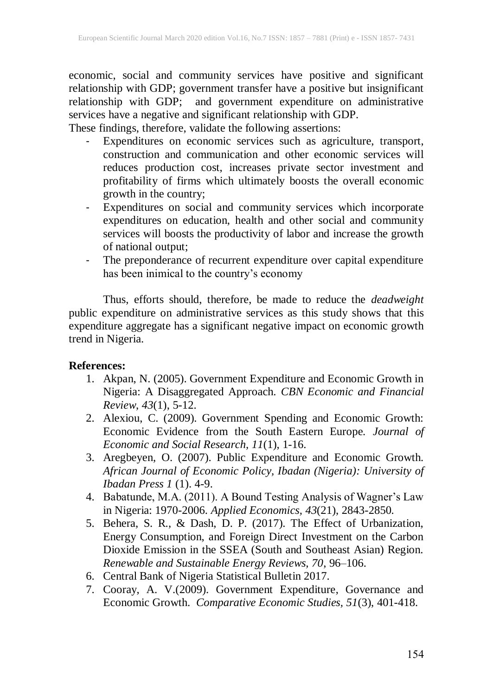economic, social and community services have positive and significant relationship with GDP; government transfer have a positive but insignificant relationship with GDP; and government expenditure on administrative services have a negative and significant relationship with GDP. These findings, therefore, validate the following assertions:

- Expenditures on economic services such as agriculture, transport, construction and communication and other economic services will reduces production cost, increases private sector investment and profitability of firms which ultimately boosts the overall economic growth in the country;

- Expenditures on social and community services which incorporate expenditures on education, health and other social and community services will boosts the productivity of labor and increase the growth of national output;
- The preponderance of recurrent expenditure over capital expenditure has been inimical to the country's economy

Thus, efforts should, therefore, be made to reduce the *deadweight* public expenditure on administrative services as this study shows that this expenditure aggregate has a significant negative impact on economic growth trend in Nigeria.

### **References:**

- 1. Akpan, N. (2005). Government Expenditure and Economic Growth in Nigeria: A Disaggregated Approach. *CBN Economic and Financial Review*, *43*(1), 5-12.
- 2. Alexiou, C. (2009). Government Spending and Economic Growth: Economic Evidence from the South Eastern Europe. *Journal of Economic and Social Research, 11*(1), 1-16.
- 3. Aregbeyen, O. (2007). Public Expenditure and Economic Growth. *African Journal of Economic Policy, Ibadan (Nigeria): University of Ibadan Press 1* (1). 4-9.
- 4. Babatunde, M.A. (2011). A Bound Testing Analysis of Wagner's Law in Nigeria: 1970-2006. *Applied Economics, 43*(21), 2843-2850.
- 5. Behera, S. R., & Dash, D. P. (2017). The Effect of Urbanization, Energy Consumption, and Foreign Direct Investment on the Carbon Dioxide Emission in the SSEA (South and Southeast Asian) Region. *Renewable and Sustainable Energy Reviews, 70*, 96–106.
- 6. Central Bank of Nigeria Statistical Bulletin 2017.
- 7. Cooray, A. V.(2009). Government Expenditure, Governance and Economic Growth. *Comparative Economic Studies, 51*(3), 401-418.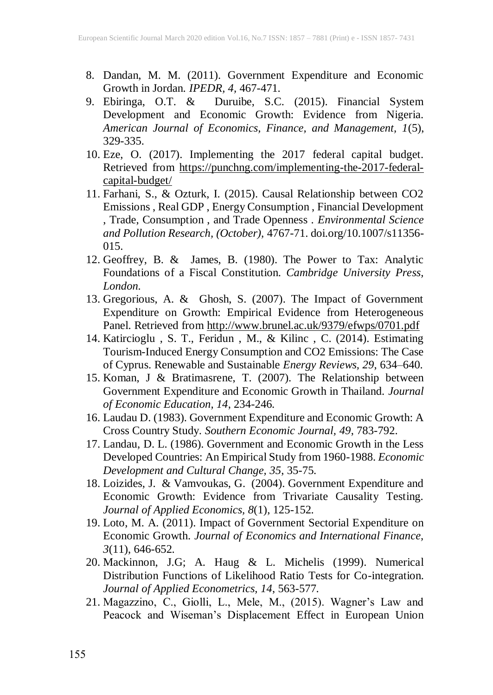- 8. Dandan, M. M. (2011). Government Expenditure and Economic Growth in Jordan. *IPEDR, 4,* 467-471.
- 9. Ebiringa, O.T. & Duruibe, S.C. (2015). Financial System Development and Economic Growth: Evidence from Nigeria. *American Journal of Economics, Finance, and Management, 1*(5), 329-335.
- 10. Eze, O. (2017). Implementing the 2017 federal capital budget. Retrieved from [https://punchng.com/implementing-the-2017-federal](https://punchng.com/implementing-the-2017-federal-capital-budget/)[capital-budget/](https://punchng.com/implementing-the-2017-federal-capital-budget/)
- 11. Farhani, S., & Ozturk, I. (2015). Causal Relationship between CO2 Emissions , Real GDP , Energy Consumption , Financial Development , Trade, Consumption , and Trade Openness . *Environmental Science and Pollution Research, (October),* 4767-71. doi.org/10.1007/s11356- 015.
- 12. Geoffrey, B. & James, B. (1980). The Power to Tax: Analytic Foundations of a Fiscal Constitution. *Cambridge University Press, London.*
- 13. Gregorious, A. & Ghosh, S. (2007). The Impact of Government Expenditure on Growth: Empirical Evidence from Heterogeneous Panel. Retrieved from <http://www.brunel.ac.uk/9379/efwps/0701.pdf>
- 14. Katircioglu , S. T., Feridun , M., & Kilinc , C. (2014). Estimating Tourism-Induced Energy Consumption and CO2 Emissions: The Case of Cyprus. Renewable and Sustainable *Energy Reviews, 29*, 634–640.
- 15. Koman, J & Bratimasrene, T. (2007). The Relationship between Government Expenditure and Economic Growth in Thailand. *Journal of Economic Education, 14*, 234-246.
- 16. Laudau D. (1983). Government Expenditure and Economic Growth: A Cross Country Study. *Southern Economic Journal, 49*, 783-792.
- 17. Landau, D. L. (1986). Government and Economic Growth in the Less Developed Countries: An Empirical Study from 1960-1988. *Economic Development and Cultural Change, 35*, 35-75.
- 18. Loizides, J. & Vamvoukas, G. (2004). Government Expenditure and Economic Growth: Evidence from Trivariate Causality Testing. *Journal of Applied Economics, 8*(1), 125-152.
- 19. Loto, M. A. (2011). Impact of Government Sectorial Expenditure on Economic Growth. *Journal of Economics and International Finance, 3*(11), 646-652.
- 20. Mackinnon, J.G; A. Haug & L. Michelis (1999). Numerical Distribution Functions of Likelihood Ratio Tests for Co-integration. *Journal of Applied Econometrics, 14*, 563-577.
- 21. Magazzino, C., Giolli, L., Mele, M., (2015). Wagner's Law and Peacock and Wiseman's Displacement Effect in European Union